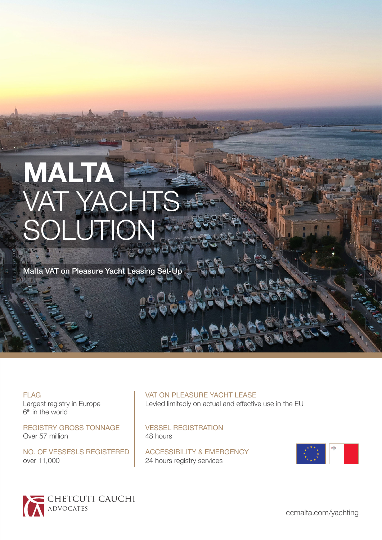# **MALTA**  VAT YACHTS SOLUTION

Malta VAT on Pleasure Yacht Leasing Set-Up

FLAG Largest registry in Europe 6<sup>th</sup> in the world

REGISTRY GROSS TONNAGE Over 57 million

NO. OF VESSESLS REGISTERED over 11,000

### VAT ON PLEASURE YACHT LEASE

Levied limitedly on actual and effective use in the EU

VESSEL REGISTRATION 48 hours

ACCESSIBILITY & EMERGENCY 24 hours registry services



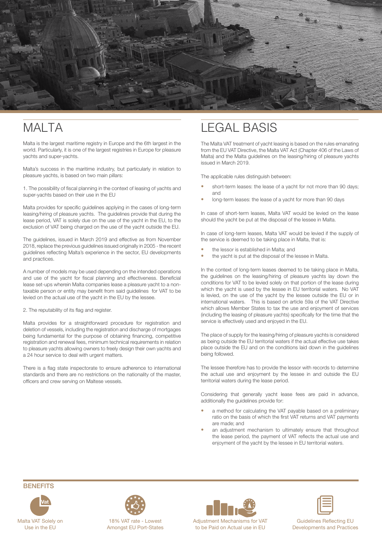

### MAI TA

Malta is the largest maritime registry in Europe and the 6th largest in the world. Particularly, it is one of the largest registries in Europe for pleasure yachts and super-yachts.

Malta's success in the maritime industry, but particularly in relation to pleasure yachts, is based on two main pillars:

1. The possibility of fiscal planning in the context of leasing of yachts and super-yachts based on their use in the EU

Malta provides for specific guidelines applying in the cases of long-term leasing/hiring of pleasure yachts. The guidelines provide that during the lease period, VAT is solely due on the use of the yacht in the EU, to the exclusion of VAT being charged on the use of the yacht outside the EU.

The guidelines, issued in March 2019 and effective as from November 2018, replace the previous guidelines issued originally in 2005 - the recent guidelines reflecting Malta's experience in the sector, EU developments and practices.

A number of models may be used depending on the intended operations and use of the yacht for fiscal planning and effectiveness. Beneficial lease set-ups wherein Malta companies lease a pleasure yacht to a nontaxable person or entity may benefit from said guidelines for VAT to be levied on the actual use of the yacht in the EU by the lessee.

#### 2. The reputability of its flag and register.

Malta provides for a straightforward procedure for registration and deletion of vessels, including the registration and discharge of mortgages being fundamental for the purpose of obtaining financing, competitive registration and renewal fees, minimum technical requirements in relation to pleasure yachts allowing owners to freely design their own yachts and a 24 hour service to deal with urgent matters.

There is a flag state inspectorate to ensure adherence to international standards and there are no restrictions on the nationality of the master, officers and crew serving on Maltese vessels.

### LEGAL BASIS

The Malta VAT treatment of yacht leasing is based on the rules emanating from the EU VAT Directive, the Malta VAT Act (Chapter 406 of the Laws of Malta) and the Malta guidelines on the leasing/hiring of pleasure yachts issued in March 2019.

The applicable rules distinguish between:

- short-term leases: the lease of a yacht for not more than 90 days; and
- long-term leases: the lease of a yacht for more than 90 days

In case of short-term leases, Malta VAT would be levied on the lease should the yacht be put at the disposal of the lessee in Malta.

In case of long-term leases, Malta VAT would be levied if the supply of the service is deemed to be taking place in Malta, that is:

- the lessor is established in Malta; and
- the yacht is put at the disposal of the lessee in Malta.

In the context of long-term leases deemed to be taking place in Malta, the guidelines on the leasing/hiring of pleasure yachts lay down the conditions for VAT to be levied solely on that portion of the lease during which the yacht is used by the lessee in EU territorial waters. No VAT is levied, on the use of the yacht by the lessee outside the EU or in international waters. This is based on article 59a of the VAT Directive which allows Member States to tax the use and enjoyment of services (including the leasing of pleasure yachts) specifically for the time that the service is effectively used and enjoyed in the EU.

The place of supply for the leasing/hiring of pleasure yachts is considered as being outside the EU territorial waters if the actual effective use takes place outside the EU and on the conditions laid down in the guidelines being followed.

The lessee therefore has to provide the lessor with records to determine the actual use and enjoyment by the lessee in and outside the EU territorial waters during the lease period.

Considering that generally yacht lease fees are paid in advance, additionally the guidelines provide for:

- a method for calculating the VAT payable based on a preliminary ratio on the basis of which the first VAT returns and VAT payments are made; and
- an adjustment mechanism to ultimately ensure that throughout the lease period, the payment of VAT reflects the actual use and enjoyment of the yacht by the lessee in EU territorial waters.

#### **BENEFITS**





Amongst EU Port-States



Adjustment Mechanisms for VAT to be Paid on Actual use in EU

Guidelines Reflecting EU Developments and Practices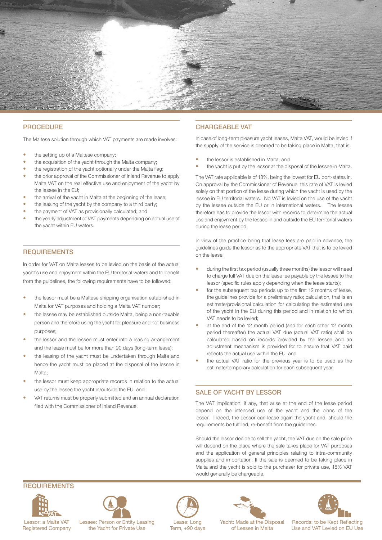

#### **PROCEDURE**

The Maltese solution through which VAT payments are made involves:

- the setting up of a Maltese company;
- the acquisition of the yacht through the Malta company;
- the registration of the yacht optionally under the Malta flag;
- the prior approval of the Commissioner of Inland Revenue to apply Malta VAT on the real effective use and enjoyment of the yacht by the lessee in the EU;
- the arrival of the yacht in Malta at the beginning of the lease;
- the leasing of the yacht by the company to a third party;
- the payment of VAT as provisionally calculated; and
- the yearly adjustment of VAT payments depending on actual use of the yacht within EU waters.

#### REQUIREMENTS

In order for VAT on Malta leases to be levied on the basis of the actual yacht's use and enjoyment within the EU territorial waters and to benefit from the guidelines, the following requirements have to be followed:

- the lessor must be a Maltese shipping organisation established in Malta for VAT purposes and holding a Malta VAT number;
- the lessee may be established outside Malta, being a non-taxable person and therefore using the yacht for pleasure and not business purposes;
- the lessor and the lessee must enter into a leasing arrangement and the lease must be for more than 90 days (long-term lease);
- the leasing of the yacht must be undertaken through Malta and hence the yacht must be placed at the disposal of the lessee in Malta;
- the lessor must keep appropriate records in relation to the actual use by the lessee the yacht in/outside the EU; and
- VAT returns must be properly submitted and an annual declaration filed with the Commissioner of Inland Revenue.

#### CHARGEABLE VAT

In case of long-term pleasure yacht leases, Malta VAT, would be levied if the supply of the service is deemed to be taking place in Malta, that is:

- the lessor is established in Malta; and
- the yacht is put by the lessor at the disposal of the lessee in Malta.

The VAT rate applicable is of 18%, being the lowest for EU port-states in. On approval by the Commissioner of Revenue, this rate of VAT is levied solely on that portion of the lease during which the yacht is used by the lessee in EU territorial waters. No VAT is levied on the use of the yacht by the lessee outside the EU or in international waters. The lessee therefore has to provide the lessor with records to determine the actual use and enjoyment by the lessee in and outside the EU territorial waters during the lease period.

In view of the practice being that lease fees are paid in advance, the guidelines guide the lessor as to the appropriate VAT that is to be levied on the lease:

- during the first tax period (usually three months) the lessor will need to charge full VAT due on the lease fee payable by the lessee to the lessor (specific rules apply depending when the lease starts);
- for the subsequent tax periods up to the first 12 months of lease, the guidelines provide for a preliminary ratio; calculation, that is an estimate/provisional calculation for calculating the estimated use of the yacht in the EU during this period and in relation to which VAT needs to be levied;
- at the end of the 12 month period (and for each other 12 month period thereafter) the actual VAT due (actual VAT ratio) shall be calculated based on records provided by the lessee and an adjustment mechanism is provided for to ensure that VAT paid reflects the actual use within the EU; and
- the actual VAT ratio for the previous year is to be used as the estimate/temporary calculation for each subsequent year.

#### SALE OF YACHT BY LESSOR

The VAT implication, if any, that arise at the end of the lease period depend on the intended use of the yacht and the plans of the lessor. Indeed, the Lessor can lease again the yacht and, should the requirements be fulfilled, re-benefit from the guidelines.

Should the lessor decide to sell the yacht, the VAT due on the sale price will depend on the place where the sale takes place for VAT purposes and the application of general principles relating to intra-community supplies and importation. If the sale is deemed to be taking place in Malta and the yacht is sold to the purchaser for private use, 18% VAT would generally be chargeable.

#### REQUIREMENTS



Lessor: a Malta VAT Registered Company



Lessee: Person or Entity Leasing the Yacht for Private Use



Lease: Long Term, +90 days



of Lessee in Malta

Records: to be Kept Reflecting Use and VAT Levied on EU Use Yacht: Made at the Disposal